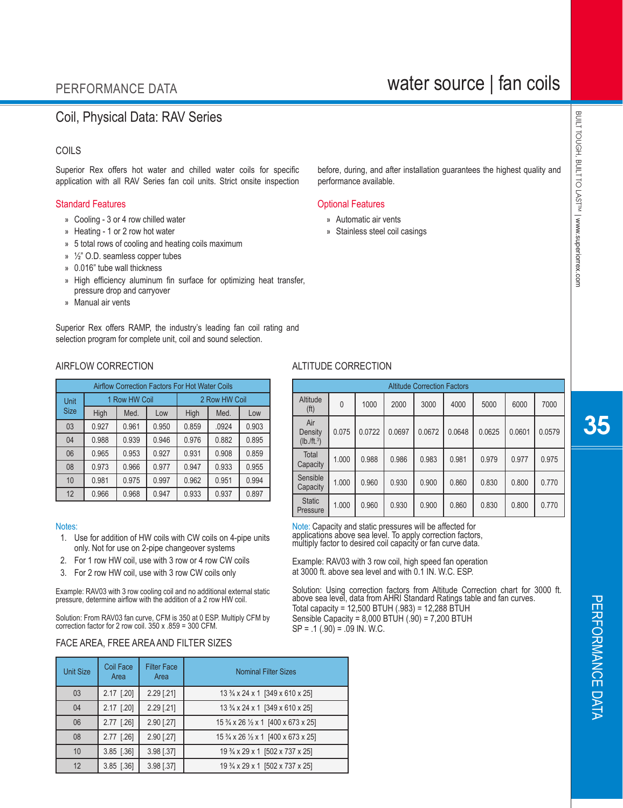# water source | fan coils

## Coil, Physical Data: RAV Series

### COILS

Superior Rex offers hot water and chilled water coils for specific application with all RAV Series fan coil units. Strict onsite inspection

#### Standard Features **Contract Contract Contract Contract Contract Contract Contract Contract Contract Contract Contract Contract Contract Contract Contract Contract Contract Contract Contract Contract Contract Contract Contr**

- » Cooling 3 or 4 row chilled water
- » Heating 1 or 2 row hot water
- » 5 total rows of cooling and heating coils maximum
- » ½" O.D. seamless copper tubes
- » 0.016" tube wall thickness
- » High efficiency aluminum fin surface for optimizing heat transfer, pressure drop and carryover
- » Manual air vents

Superior Rex offers RAMP, the industry's leading fan coil rating and selection program for complete unit, coil and sound selection.

#### AIRFLOW CORRECTION ALTITUDE CORRECTION

| <b>Airflow Correction Factors For Hot Water Coils</b> |       |               |       |       |               |       |  |  |  |  |
|-------------------------------------------------------|-------|---------------|-------|-------|---------------|-------|--|--|--|--|
| Unit                                                  |       | 1 Row HW Coil |       |       | 2 Row HW Coil |       |  |  |  |  |
| <b>Size</b>                                           | High  | Med.          | Low   | High  | Med.          | Low   |  |  |  |  |
| 03                                                    | 0.927 | 0.961         | 0.950 | 0.859 | .0924         | 0.903 |  |  |  |  |
| 04                                                    | 0.988 | 0.939         | 0.946 | 0.976 | 0.882         | 0.895 |  |  |  |  |
| 06                                                    | 0.965 | 0.953         | 0.927 | 0.931 | 0.908         | 0.859 |  |  |  |  |
| 08                                                    | 0.973 | 0.966         | 0.977 | 0.947 | 0.933         | 0.955 |  |  |  |  |
| 10                                                    | 0.981 | 0.975         | 0.997 | 0.962 | 0.951         | 0.994 |  |  |  |  |
| 12                                                    | 0.966 | 0.968         | 0.947 | 0.933 | 0.937         | 0.897 |  |  |  |  |

#### Notes:

- 1. Use for addition of HW coils with CW coils on 4-pipe units only. Not for use on 2-pipe changeover systems
- 2. For 1 row HW coil, use with 3 row or 4 row CW coils
- 3. For 2 row HW coil, use with 3 row CW coils only

Example: RAV03 with 3 row cooling coil and no additional external static pressure, determine airflow with the addition of a 2 row HW coil.

Solution: From RAV03 fan curve, CFM is 350 at 0 ESP. Multiply CFM by correction factor for 2 row coil. 350 x .859 = 300 CFM.

## FACE AREA, FREE AREA AND FILTER SIZES

| <b>Unit Size</b> | Coil Face<br>Area | <b>Filter Face</b><br>Area | <b>Nominal Filter Sizes</b>          |
|------------------|-------------------|----------------------------|--------------------------------------|
| 03               | 2.17 [.20]        | $2.29$ [.21]               | 13 3/4 x 24 x 1 [349 x 610 x 25]     |
| 04               | 2.17 [.20]        | 2.29 [.21]                 | 13 3/4 x 24 x 1 [349 x 610 x 25]     |
| 06               | 2.77 [.26]        | 2.90 [.27]                 | 15 3/4 x 26 1/2 x 1 [400 x 673 x 25] |
| 08               | 2.77 [.26]        | 2.90 [.27]                 | 15 3/4 x 26 1/2 x 1 [400 x 673 x 25] |
| 10               | $3.85$ [.36]      | 3.98 [.37]                 | 19 3/4 x 29 x 1 [502 x 737 x 25]     |
| 12               | 3.85 [.36]        | 3.98 [.37]                 | 19 3/4 x 29 x 1 [502 x 737 x 25]     |

before, during, and after installation guarantees the highest quality and performance available.

- » Automatic air vents
- » Stainless steel coil casings

Altitude Correction Factors Altitude  $\begin{array}{|c|c|c|c|c|c|c|c|} \hline \text{(fit)} & 0 & 1000 & 2000 & 3000 & 4000 & 5000 & 6000 & 7000 \ \hline \end{array}$ Air **Density**  $(lb. / ft.3)$ 0.075 0.0722 0.0697 0.0672 0.0648 0.0625 0.0601 0.0579 Total Capacity 1.000 0.988 0.986 0.983 0.981 0.979 0.977 0.975 Sensible<br>Capacity Capacity | 1.000 | 0.960 | 0.930 | 0.900 | 0.860 | 0.830 | 0.800 | 0.770 Static<br>Pressure Pressure 1.000 0.960 0.930 0.900 0.860 0.830 0.800 0.770

Note: Capacity and static pressures will be affected for<br>applications above sea level. To apply correction factors, multiply factor to desired coil capacity or fan curve data.

l Example: RAV03 with 3 row coil, high speed fan operation at 3000 ft. above sea level and with 0.1 IN. W.C. ESP.

 Solution: Using correction factors from Altitude Correction chart for 3000 ft. above sea level, data from AHRI Standard Ratings table and fan curves. Total capacity = 12,500 BTUH (.983) = 12,288 BTUH Sensible Capacity =  $8,000$  BTUH  $(.90)$  =  $7,200$  BTUH  $SP = .1 (.90) = .09$  IN. W.C.

35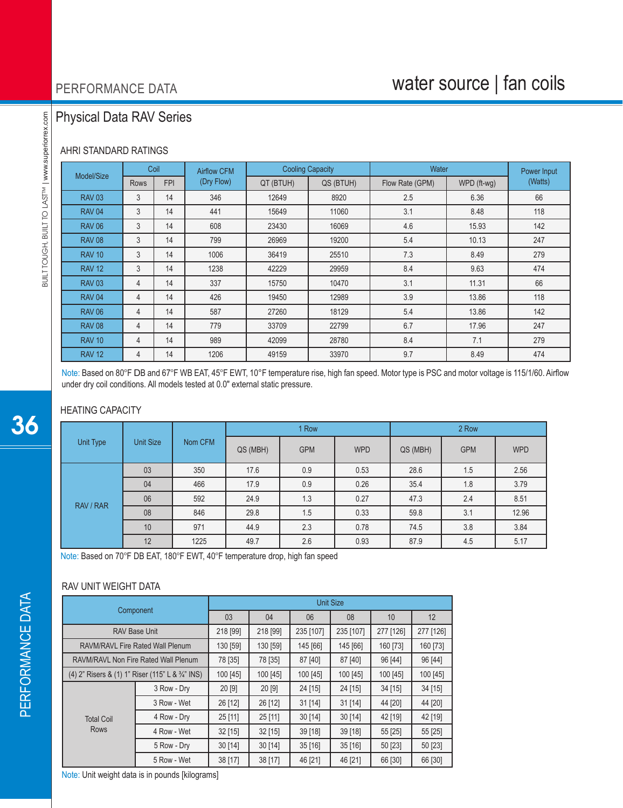# water source | fan coils

## Physical Data RAV Series

## AHRI STANDARD RATINGS

|               | Coil<br>Model/Size |            | <b>Airflow CFM</b> |           | <b>Cooling Capacity</b> | Water           | Power Input |         |
|---------------|--------------------|------------|--------------------|-----------|-------------------------|-----------------|-------------|---------|
|               | Rows               | <b>FPI</b> | (Dry Flow)         | QT (BTUH) | QS (BTUH)               | Flow Rate (GPM) | WPD (ft-wg) | (Watts) |
| <b>RAV 03</b> | 3                  | 14         | 346                | 12649     | 8920                    | 2.5             | 6.36        | 66      |
| <b>RAV 04</b> | 3                  | 14         | 441                | 15649     | 11060                   | 3.1             | 8.48        | 118     |
| <b>RAV 06</b> | 3                  | 14         | 608                | 23430     | 16069                   | 4.6             | 15.93       | 142     |
| <b>RAV 08</b> | 3                  | 14         | 799                | 26969     | 19200                   | 5.4             | 10.13       | 247     |
| <b>RAV 10</b> | 3                  | 14         | 1006               | 36419     | 25510                   | 7.3             | 8.49        | 279     |
| <b>RAV 12</b> | 3                  | 14         | 1238               | 42229     | 29959                   | 8.4             | 9.63        | 474     |
| <b>RAV 03</b> | 4                  | 14         | 337                | 15750     | 10470                   | 3.1             | 11.31       | 66      |
| <b>RAV 04</b> | 4                  | 14         | 426                | 19450     | 12989                   | 3.9             | 13.86       | 118     |
| <b>RAV 06</b> | 4                  | 14         | 587                | 27260     | 18129                   | 5.4             | 13.86       | 142     |
| <b>RAV 08</b> | 4                  | 14         | 779                | 33709     | 22799                   | 6.7             | 17.96       | 247     |
| <b>RAV 10</b> | 4                  | 14         | 989                | 42099     | 28780                   | 8.4             | 7.1         | 279     |
| <b>RAV 12</b> | 4                  | 14         | 1206               | 49159     | 33970                   | 9.7             | 8.49        | 474     |

Note: Based on 80°F DB and 67°F WB EAT, 45°F EWT, 10°F temperature rise, high fan speed. Motor type is PSC and motor voltage is 115/1/60. Airflow under dry coil conditions. All models tested at 0.0" external static pressure.

## HEATING CAPACITY

| Unit Type | <b>Unit Size</b> | Nom CFM |          | 1 Row      |            | 2 Row    |            |            |  |
|-----------|------------------|---------|----------|------------|------------|----------|------------|------------|--|
|           |                  |         | QS (MBH) | <b>GPM</b> | <b>WPD</b> | QS (MBH) | <b>GPM</b> | <b>WPD</b> |  |
|           | 03               | 350     | 17.6     | 0.9        | 0.53       | 28.6     | 1.5        | 2.56       |  |
|           | 04               | 466     | 17.9     | 0.9        | 0.26       | 35.4     | 1.8        | 3.79       |  |
| RAV / RAR | 06               | 592     | 24.9     | 1.3        | 0.27       | 47.3     | 2.4        | 8.51       |  |
|           | 08               | 846     | 29.8     | 1.5        | 0.33       | 59.8     | 3.1        | 12.96      |  |
|           | 10               | 971     | 44.9     | 2.3        | 0.78       | 74.5     | 3.8        | 3.84       |  |
|           | 12               | 1225    | 49.7     | 2.6        | 0.93       | 87.9     | 4.5        | 5.17       |  |

Note: Based on 70°F DB EAT, 180°F EWT, 40°F temperature drop, high fan speed

### RAV UNIT WEIGHT DATA

| Component                                        | <b>Unit Size</b>                 |           |           |           |           |           |          |  |  |
|--------------------------------------------------|----------------------------------|-----------|-----------|-----------|-----------|-----------|----------|--|--|
|                                                  | 03                               | 04        | 06        | 08        | 10        | 12        |          |  |  |
| <b>RAV Base Unit</b>                             | 218 [99]                         | 218 [99]  | 235 [107] | 235 [107] | 277 [126] | 277 [126] |          |  |  |
|                                                  | RAVM/RAVL Fire Rated Wall Plenum | 130 [59]  | 130 [59]  | 145 [66]  | 145 [66]  | 160 [73]  | 160 [73] |  |  |
| RAVM/RAVL Non Fire Rated Wall Plenum             | 78 [35]                          | 78 [35]   | 87 [40]   | 87 [40]   | 96 [44]   | 96 [44]   |          |  |  |
| (4) 2" Risers & (1) 1" Riser (115" L & 3/4" INS) |                                  | 100 [45]  | 100 [45]  | 100 [45]  | 100 [45]  | 100 [45]  | 100 [45] |  |  |
|                                                  | 3 Row - Dry                      | 20[9]     | 20 [9]    | 24 [15]   | 24 [15]   | $34$ [15] | 34 [15]  |  |  |
|                                                  | 3 Row - Wet                      | 26 [12]   | 26 [12]   | $31$ [14] | $31$ [14] | 44 [20]   | 44 [20]  |  |  |
| <b>Total Coil</b>                                | 4 Row - Dry                      | $25$ [11] | 25 [11]   | 30 [14]   | 30 [14]   | 42 [19]   | 42 [19]  |  |  |
| <b>Rows</b>                                      | 4 Row - Wet                      | $32$ [15] | $32$ [15] | 39 [18]   | 39 [18]   | 55 [25]   | 55 [25]  |  |  |
|                                                  | 5 Row - Dry                      | 30[14]    | 30 [14]   | 35[16]    | 35[16]    | 50 [23]   | 50 [23]  |  |  |
|                                                  | 5 Row - Wet                      | 38 [17]   | 38 [17]   | 46 [21]   | 46 [21]   | 66 [30]   | 66 [30]  |  |  |

Note: Unit weight data is in pounds [kilograms]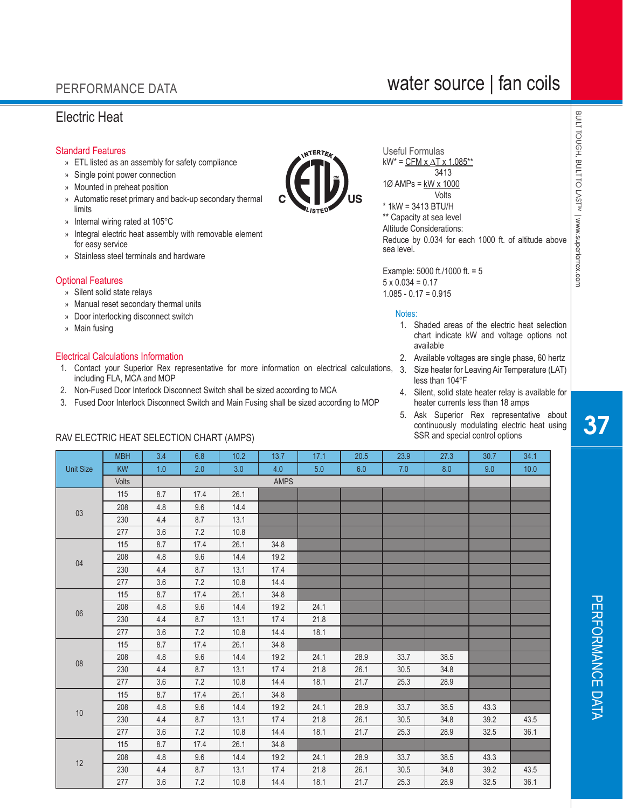## Electric Heat

## Standard Features

- » ETL listed as an assembly for safety compliance
- » Single point power connection
- » Mounted in preheat position
- » Automatic reset primary and back-up secondary thermal limits
- » Internal wiring rated at 105°C
- » Integral electric heat assembly with removable element for easy service

RAV ELECTRIC HEAT SELECTION CHART (AMPS)

» Stainless steel terminals and hardware

### Optional Features

- » Silent solid state relays
- » Manual reset secondary thermal units
- » Door interlocking disconnect switch
- » Main fusing

### Electrical Calculations Information

- 1. Contact your Superior Rex representative for more information on electrical calculations, including FLA, MCA and MOP
- 2. Non-Fused Door Interlock Disconnect Switch shall be sized according to MCA
- 3. Fused Door Interlock Disconnect Switch and Main Fusing shall be sized according to MOP

Useful Formulas  $kW^*$  = CFM x  $\Delta$ T x 1.085\*\* 3413 1Ø AMPs = kW x 1000 Volts \* 1kW = 3413 BTU/H \*\* Capacity at sea level

Altitude Considerations: Reduce by 0.034 for each 1000 ft. of altitude above sea level.

Example: 5000 ft./1000 ft. = 5  $5 \times 0.034 = 0.17$  $1.085 - 0.17 = 0.915$ 

#### Notes:

- 1. Shaded areas of the electric heat selection chart indicate kW and voltage options not available
- 2. Available voltages are single phase, 60 hertz
- 3. Size heater for Leaving Air Temperature (LAT) less than 104°F
- 4. Silent, solid state heater relay is available for heater currents less than 18 amps
- 5. Ask Superior Rex representative about continuously modulating electric heat using<br>SSR and special control options SSR and special control options

| vailable voltages are single phase, 60 h                                                                     |  |
|--------------------------------------------------------------------------------------------------------------|--|
| ze heater for Leaving Air Temperature (<br>ss than 104°F                                                     |  |
| lent, solid state heater relay is availabl<br>ater currents less than 18 amps                                |  |
| sk Superior Rex representative a<br>intinuously modulating electric heat u<br>SR and special control options |  |
|                                                                                                              |  |

|                  | <b>MBH</b>   | 3.4 | 6.8  | 10.2 | 13.7        | 17.1 | 20.5 | 23.9 | 27.3 | 30.7 | 34.1 |
|------------------|--------------|-----|------|------|-------------|------|------|------|------|------|------|
| <b>Unit Size</b> | <b>KW</b>    | 1.0 | 2.0  | 3.0  | 4.0         | 5.0  | 6.0  | 7.0  | 8.0  | 9.0  | 10.0 |
|                  | <b>Volts</b> |     |      |      | <b>AMPS</b> |      |      |      |      |      |      |
|                  | 115          | 8.7 | 17.4 | 26.1 |             |      |      |      |      |      |      |
| $03\,$           | 208          | 4.8 | 9.6  | 14.4 |             |      |      |      |      |      |      |
|                  | 230          | 4.4 | 8.7  | 13.1 |             |      |      |      |      |      |      |
|                  | 277          | 3.6 | 7.2  | 10.8 |             |      |      |      |      |      |      |
|                  | 115          | 8.7 | 17.4 | 26.1 | 34.8        |      |      |      |      |      |      |
| 04               | 208          | 4.8 | 9.6  | 14.4 | 19.2        |      |      |      |      |      |      |
|                  | 230          | 4.4 | 8.7  | 13.1 | 17.4        |      |      |      |      |      |      |
|                  | 277          | 3.6 | 7.2  | 10.8 | 14.4        |      |      |      |      |      |      |
|                  | 115          | 8.7 | 17.4 | 26.1 | 34.8        |      |      |      |      |      |      |
| $06\,$           | 208          | 4.8 | 9.6  | 14.4 | 19.2        | 24.1 |      |      |      |      |      |
|                  | 230          | 4.4 | 8.7  | 13.1 | 17.4        | 21.8 |      |      |      |      |      |
|                  | 277          | 3.6 | 7.2  | 10.8 | 14.4        | 18.1 |      |      |      |      |      |
|                  | 115          | 8.7 | 17.4 | 26.1 | 34.8        |      |      |      |      |      |      |
| ${\bf 08}$       | 208          | 4.8 | 9.6  | 14.4 | 19.2        | 24.1 | 28.9 | 33.7 | 38.5 |      |      |
|                  | 230          | 4.4 | 8.7  | 13.1 | 17.4        | 21.8 | 26.1 | 30.5 | 34.8 |      |      |
|                  | 277          | 3.6 | 7.2  | 10.8 | 14.4        | 18.1 | 21.7 | 25.3 | 28.9 |      |      |
|                  | 115          | 8.7 | 17.4 | 26.1 | 34.8        |      |      |      |      |      |      |
| $10$             | 208          | 4.8 | 9.6  | 14.4 | 19.2        | 24.1 | 28.9 | 33.7 | 38.5 | 43.3 |      |
|                  | 230          | 4.4 | 8.7  | 13.1 | 17.4        | 21.8 | 26.1 | 30.5 | 34.8 | 39.2 | 43.5 |
|                  | 277          | 3.6 | 7.2  | 10.8 | 14.4        | 18.1 | 21.7 | 25.3 | 28.9 | 32.5 | 36.1 |
|                  | 115          | 8.7 | 17.4 | 26.1 | 34.8        |      |      |      |      |      |      |
| $12$             | 208          | 4.8 | 9.6  | 14.4 | 19.2        | 24.1 | 28.9 | 33.7 | 38.5 | 43.3 |      |
|                  | 230          | 4.4 | 8.7  | 13.1 | 17.4        | 21.8 | 26.1 | 30.5 | 34.8 | 39.2 | 43.5 |
|                  | 277          | 3.6 | 7.2  | 10.8 | 14.4        | 18.1 | 21.7 | 25.3 | 28.9 | 32.5 | 36.1 |

BUILT TOUGH, BUILT TO LASTIM | www.superiorrex.com BUILT TOUGH, BUILT TO LAST™| www.superiorrex.com

# water source | fan coils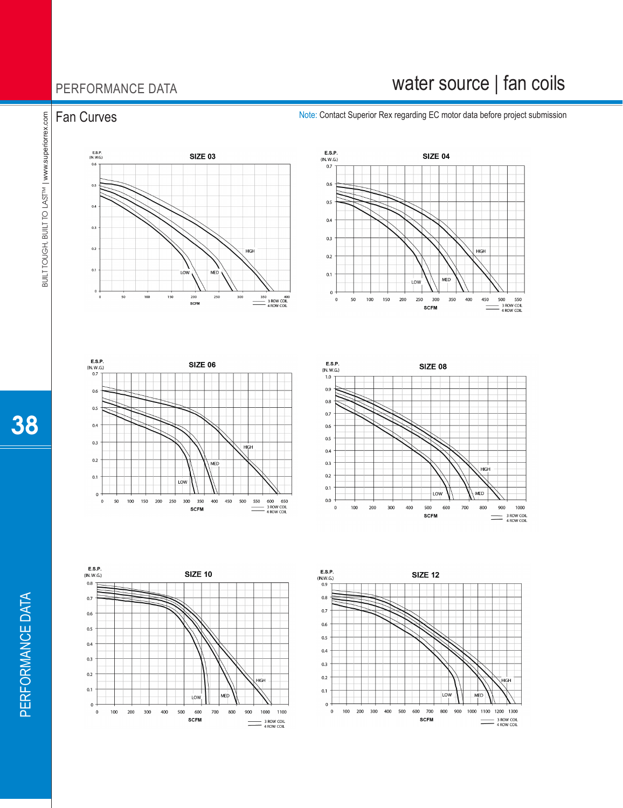# water source | fan coils

Fan Curves Note: Contact Superior Rex regarding EC motor data before project submission













BUILT TOUGH, BUILT TO LAST

™ | www.superiorrex.com

38